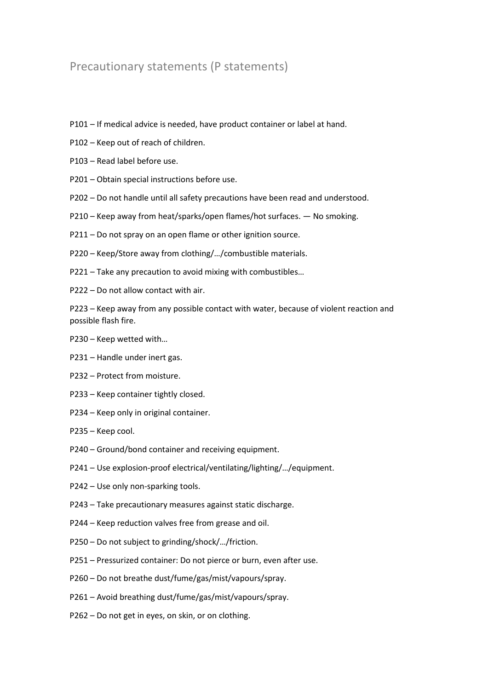## Precautionary statements (P statements)

- P101 If medical advice is needed, have product container or label at hand.
- P102 Keep out of reach of children.
- P103 Read label before use.
- P201 Obtain special instructions before use.
- P202 Do not handle until all safety precautions have been read and understood.
- P210 Keep away from heat/sparks/open flames/hot surfaces. No smoking.
- P211 Do not spray on an open flame or other ignition source.
- P220 Keep/Store away from clothing/…/combustible materials.
- P221 Take any precaution to avoid mixing with combustibles…
- P222 Do not allow contact with air.

P223 – Keep away from any possible contact with water, because of violent reaction and possible flash fire.

- P230 Keep wetted with…
- P231 Handle under inert gas.
- P232 Protect from moisture.
- P233 Keep container tightly closed.
- P234 Keep only in original container.
- P235 Keep cool.
- P240 Ground/bond container and receiving equipment.
- P241 Use explosion-proof electrical/ventilating/lighting/…/equipment.
- P242 Use only non-sparking tools.
- P243 Take precautionary measures against static discharge.
- P244 Keep reduction valves free from grease and oil.
- P250 Do not subject to grinding/shock/…/friction.
- P251 Pressurized container: Do not pierce or burn, even after use.
- P260 Do not breathe dust/fume/gas/mist/vapours/spray.
- P261 Avoid breathing dust/fume/gas/mist/vapours/spray.
- P262 Do not get in eyes, on skin, or on clothing.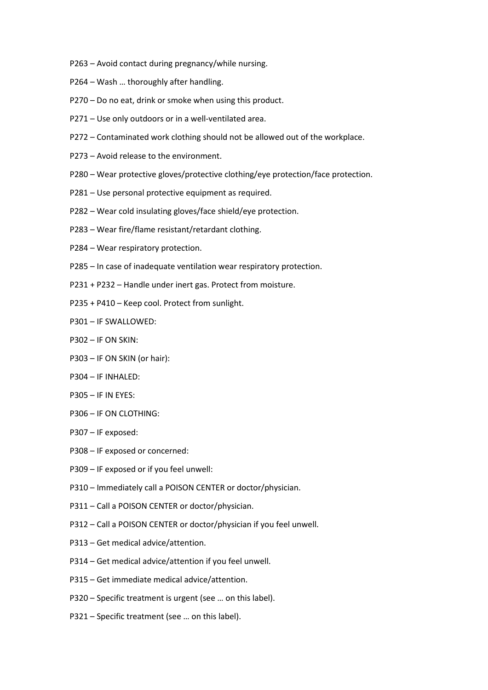- P263 Avoid contact during pregnancy/while nursing.
- P264 Wash … thoroughly after handling.
- P270 Do no eat, drink or smoke when using this product.
- P271 Use only outdoors or in a well-ventilated area.
- P272 Contaminated work clothing should not be allowed out of the workplace.
- P273 Avoid release to the environment.
- P280 Wear protective gloves/protective clothing/eye protection/face protection.
- P281 Use personal protective equipment as required.
- P282 Wear cold insulating gloves/face shield/eye protection.
- P283 Wear fire/flame resistant/retardant clothing.
- P284 Wear respiratory protection.
- P285 In case of inadequate ventilation wear respiratory protection.
- P231 + P232 Handle under inert gas. Protect from moisture.
- P235 + P410 Keep cool. Protect from sunlight.
- P301 IF SWALLOWED:
- P302 IF ON SKIN:
- P303 IF ON SKIN (or hair):
- P304 IF INHALED:
- P305 IF IN EYES:
- P306 IF ON CLOTHING:
- P307 IF exposed:
- P308 IF exposed or concerned:
- P309 IF exposed or if you feel unwell:
- P310 Immediately call a POISON CENTER or doctor/physician.
- P311 Call a POISON CENTER or doctor/physician.
- P312 Call a POISON CENTER or doctor/physician if you feel unwell.
- P313 Get medical advice/attention.
- P314 Get medical advice/attention if you feel unwell.
- P315 Get immediate medical advice/attention.
- P320 Specific treatment is urgent (see … on this label).
- P321 Specific treatment (see … on this label).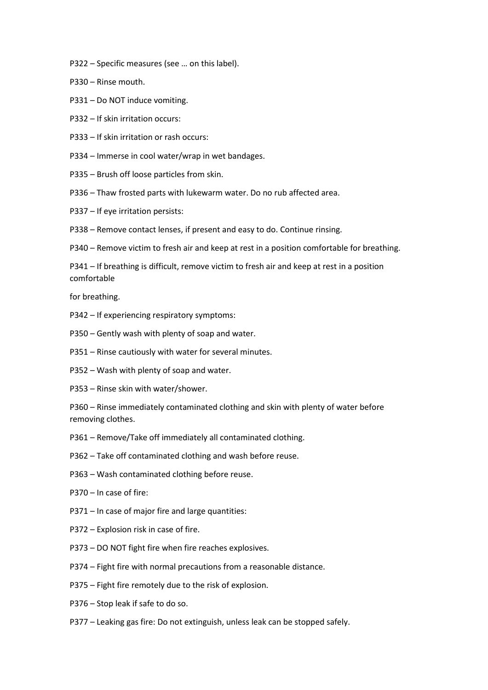- P322 Specific measures (see … on this label).
- P330 Rinse mouth.
- P331 Do NOT induce vomiting.
- P332 If skin irritation occurs:
- P333 If skin irritation or rash occurs:
- P334 Immerse in cool water/wrap in wet bandages.
- P335 Brush off loose particles from skin.
- P336 Thaw frosted parts with lukewarm water. Do no rub affected area.
- P337 If eye irritation persists:
- P338 Remove contact lenses, if present and easy to do. Continue rinsing.
- P340 Remove victim to fresh air and keep at rest in a position comfortable for breathing.

P341 – If breathing is difficult, remove victim to fresh air and keep at rest in a position comfortable

for breathing.

- P342 If experiencing respiratory symptoms:
- P350 Gently wash with plenty of soap and water.
- P351 Rinse cautiously with water for several minutes.
- P352 Wash with plenty of soap and water.
- P353 Rinse skin with water/shower.

P360 – Rinse immediately contaminated clothing and skin with plenty of water before removing clothes.

- P361 Remove/Take off immediately all contaminated clothing.
- P362 Take off contaminated clothing and wash before reuse.
- P363 Wash contaminated clothing before reuse.
- P370 In case of fire:
- P371 In case of major fire and large quantities:
- P372 Explosion risk in case of fire.
- P373 DO NOT fight fire when fire reaches explosives.
- P374 Fight fire with normal precautions from a reasonable distance.
- P375 Fight fire remotely due to the risk of explosion.
- P376 Stop leak if safe to do so.
- P377 Leaking gas fire: Do not extinguish, unless leak can be stopped safely.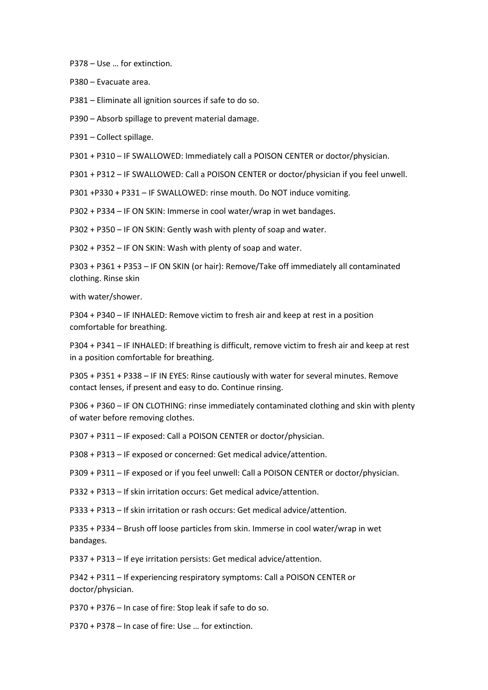P378 – Use … for extinction.

P380 – Evacuate area.

P381 – Eliminate all ignition sources if safe to do so.

P390 – Absorb spillage to prevent material damage.

P391 – Collect spillage.

P301 + P310 – IF SWALLOWED: Immediately call a POISON CENTER or doctor/physician.

P301 + P312 – IF SWALLOWED: Call a POISON CENTER or doctor/physician if you feel unwell.

P301 +P330 + P331 – IF SWALLOWED: rinse mouth. Do NOT induce vomiting.

P302 + P334 – IF ON SKIN: Immerse in cool water/wrap in wet bandages.

P302 + P350 – IF ON SKIN: Gently wash with plenty of soap and water.

P302 + P352 – IF ON SKIN: Wash with plenty of soap and water.

P303 + P361 + P353 – IF ON SKIN (or hair): Remove/Take off immediately all contaminated clothing. Rinse skin

with water/shower.

P304 + P340 – IF INHALED: Remove victim to fresh air and keep at rest in a position comfortable for breathing.

P304 + P341 – IF INHALED: If breathing is difficult, remove victim to fresh air and keep at rest in a position comfortable for breathing.

P305 + P351 + P338 – IF IN EYES: Rinse cautiously with water for several minutes. Remove contact lenses, if present and easy to do. Continue rinsing.

P306 + P360 – IF ON CLOTHING: rinse immediately contaminated clothing and skin with plenty of water before removing clothes.

P307 + P311 – IF exposed: Call a POISON CENTER or doctor/physician.

P308 + P313 – IF exposed or concerned: Get medical advice/attention.

P309 + P311 – IF exposed or if you feel unwell: Call a POISON CENTER or doctor/physician.

P332 + P313 – If skin irritation occurs: Get medical advice/attention.

P333 + P313 – If skin irritation or rash occurs: Get medical advice/attention.

P335 + P334 – Brush off loose particles from skin. Immerse in cool water/wrap in wet bandages.

P337 + P313 – If eye irritation persists: Get medical advice/attention.

P342 + P311 – If experiencing respiratory symptoms: Call a POISON CENTER or doctor/physician.

P370 + P376 – In case of fire: Stop leak if safe to do so.

P370 + P378 – In case of fire: Use … for extinction.